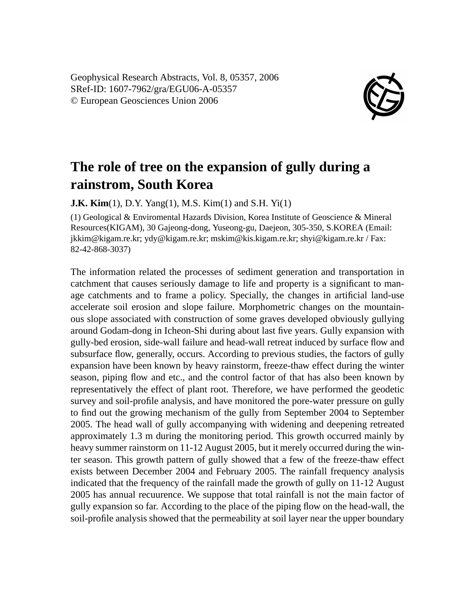Geophysical Research Abstracts, Vol. 8, 05357, 2006 SRef-ID: 1607-7962/gra/EGU06-A-05357 © European Geosciences Union 2006



## **The role of tree on the expansion of gully during a rainstrom, South Korea**

**J.K. Kim**(1), D.Y. Yang(1), M.S. Kim(1) and S.H. Yi(1)

(1) Geological & Enviromental Hazards Division, Korea Institute of Geoscience & Mineral Resources(KIGAM), 30 Gajeong-dong, Yuseong-gu, Daejeon, 305-350, S.KOREA (Email: jkkim@kigam.re.kr; ydy@kigam.re.kr; mskim@kis.kigam.re.kr; shyi@kigam.re.kr / Fax: 82-42-868-3037)

The information related the processes of sediment generation and transportation in catchment that causes seriously damage to life and property is a significant to manage catchments and to frame a policy. Specially, the changes in artificial land-use accelerate soil erosion and slope failure. Morphometric changes on the mountainous slope associated with construction of some graves developed obviously gullying around Godam-dong in Icheon-Shi during about last five years. Gully expansion with gully-bed erosion, side-wall failure and head-wall retreat induced by surface flow and subsurface flow, generally, occurs. According to previous studies, the factors of gully expansion have been known by heavy rainstorm, freeze-thaw effect during the winter season, piping flow and etc., and the control factor of that has also been known by representatively the effect of plant root. Therefore, we have performed the geodetic survey and soil-profile analysis, and have monitored the pore-water pressure on gully to find out the growing mechanism of the gully from September 2004 to September 2005. The head wall of gully accompanying with widening and deepening retreated approximately 1.3 m during the monitoring period. This growth occurred mainly by heavy summer rainstorm on 11-12 August 2005, but it merely occurred during the winter season. This growth pattern of gully showed that a few of the freeze-thaw effect exists between December 2004 and February 2005. The rainfall frequency analysis indicated that the frequency of the rainfall made the growth of gully on 11-12 August 2005 has annual recuurence. We suppose that total rainfall is not the main factor of gully expansion so far. According to the place of the piping flow on the head-wall, the soil-profile analysis showed that the permeability at soil layer near the upper boundary